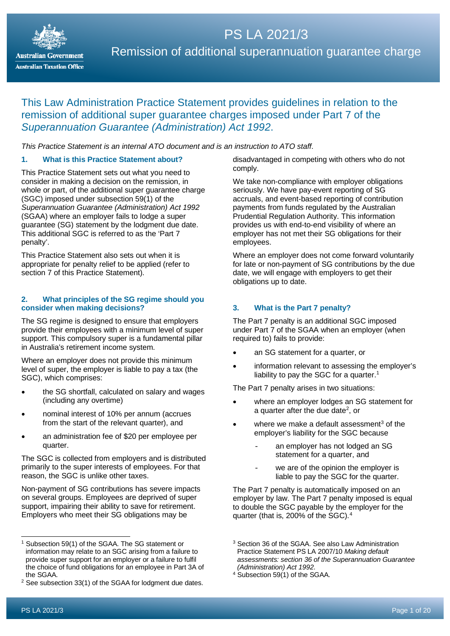

# PS LA 2021/3 Remission of additional superannuation guarantee charge

# This Law Administration Practice Statement provides guidelines in relation to the remission of additional super guarantee charges imposed under Part 7 of the *Superannuation Guarantee (Administration) Act 1992*.

*This Practice Statement is an internal ATO document and is an instruction to ATO staff*.

#### **1. What is this Practice Statement about?**

This Practice Statement sets out what you need to consider in making a decision on the remission, in whole or part, of the additional super quarantee charge (SGC) imposed under subsection 59(1) of the *Superannuation Guarantee (Administration) Act 1992* (SGAA) where an employer fails to lodge a super guarantee (SG) statement by the lodgment due date. This additional SGC is referred to as the 'Part 7 penalty'.

This Practice Statement also sets out when it is appropriate for penalty relief to be applied (refer to section 7 of this Practice Statement).

#### **2. What principles of the SG regime should you consider when making decisions?**

The SG regime is designed to ensure that employers provide their employees with a minimum level of super support. This compulsory super is a fundamental pillar in Australia's retirement income system.

Where an employer does not provide this minimum level of super, the employer is liable to pay a tax (the SGC), which comprises:

- the SG shortfall, calculated on salary and wages (including any overtime)
- nominal interest of 10% per annum (accrues from the start of the relevant quarter), and
- an administration fee of \$20 per employee per quarter.

The SGC is collected from employers and is distributed primarily to the super interests of employees. For that reason, the SGC is unlike other taxes.

Non-payment of SG contributions has severe impacts on several groups. Employees are deprived of super support, impairing their ability to save for retirement. Employers who meet their SG obligations may be

disadvantaged in competing with others who do not comply.

We take non-compliance with employer obligations seriously. We have pay-event reporting of SG accruals, and event-based reporting of contribution payments from funds regulated by the Australian Prudential Regulation Authority. This information provides us with end-to-end visibility of where an employer has not met their SG obligations for their employees.

Where an employer does not come forward voluntarily for late or non-payment of SG contributions by the due date, we will engage with employers to get their obligations up to date.

#### **3. What is the Part 7 penalty?**

The Part 7 penalty is an additional SGC imposed under Part 7 of the SGAA when an employer (when required to) fails to provide:

- an SG statement for a quarter, or
- information relevant to assessing the employer's liability to pay the SGC for a quarter.<sup>[1](#page-0-0)</sup>

The Part 7 penalty arises in two situations:

- where an employer lodges an SG statement for a quarter after the due dat[e2,](#page-0-1) or
- where we make a default assessment<sup>[3](#page-0-0)</sup> of the employer's liability for the SGC because
	- an employer has not lodged an SG statement for a quarter, and
	- we are of the opinion the employer is liable to pay the SGC for the quarter.

The Part 7 penalty is automatically imposed on an employer by law. The Part 7 penalty imposed is equal to double the SGC payable by the employer for the quarter (that is, 200% of the SGC).[4](#page-0-2)

<span id="page-0-0"></span>Subsection 59(1) of the SGAA. The SG statement or information may relate to an SGC arising from a failure to provide super support for an employer or a failure to fulfil the choice of fund obligations for an employee in Part 3A of the SGAA.

<span id="page-0-2"></span><span id="page-0-1"></span><sup>2</sup> See subsection 33(1) of the SGAA for lodgment due dates.

<sup>3</sup> Section 36 of the SGAA. See also Law Administration Practice Statement PS LA 2007/10 *Making default assessments: section 36 of the Superannuation Guarantee (Administration) Act 1992*.

 $4$  Subsection 59(1) of the SGAA.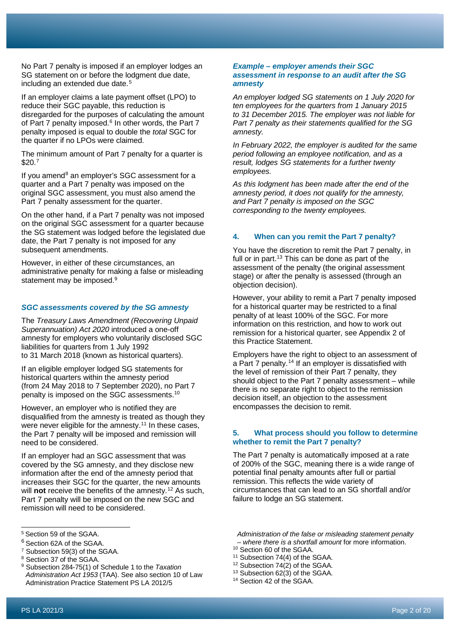No Part 7 penalty is imposed if an employer lodges an SG statement on or before the lodgment due date, including an extended due date. [5](#page-1-0)

If an employer claims a late payment offset (LPO) to reduce their SGC payable, this reduction is disregarded for the purposes of calculating the amount of Part 7 penalty imposed.<sup>[6](#page-1-1)</sup> In other words, the Part 7 penalty imposed is equal to double the *total* SGC for the quarter if no LPOs were claimed.

The minimum amount of Part 7 penalty for a quarter is  $$20.7$  $$20.7$ 

If you amend<sup>[8](#page-1-3)</sup> an employer's  $SGC$  assessment for a quarter and a Part 7 penalty was imposed on the original SGC assessment, you must also amend the Part 7 penalty assessment for the quarter.

On the other hand, if a Part 7 penalty was not imposed on the original SGC assessment for a quarter because the SG statement was lodged before the legislated due date, the Part 7 penalty is not imposed for any subsequent amendments.

However, in either of these circumstances, an administrative penalty for making a false or misleading statement may be imposed.<sup>[9](#page-1-4)</sup>

#### *SGC assessments covered by the SG amnesty*

The *Treasury Laws Amendment (Recovering Unpaid Superannuation) Act 2020* introduced a one-off amnesty for employers who voluntarily disclosed SGC liabilities for quarters from 1 July 1992 to 31 March 2018 (known as historical quarters).

If an eligible employer lodged SG statements for historical quarters within the amnesty period (from 24 May 2018 to 7 September 2020), no Part 7 penalty is imposed on the SGC assessments.[10](#page-1-5)

However, an employer who is notified they are disqualified from the amnesty is treated as though they were never eligible for the amnesty.<sup>[11](#page-1-6)</sup> In these cases, the Part 7 penalty will be imposed and remission will need to be considered.

If an employer had an SGC assessment that was covered by the SG amnesty, and they disclose new information after the end of the amnesty period that increases their SGC for the quarter, the new amounts will **not** receive the benefits of the amnesty.<sup>[12](#page-1-7)</sup> As such, Part 7 penalty will be imposed on the new SGC and remission will need to be considered.

- <span id="page-1-1"></span><sup>6</sup> Section 62A of the SGAA.
- <span id="page-1-5"></span><span id="page-1-2"></span><sup>7</sup> Subsection 59(3) of the SGAA.
- <span id="page-1-6"></span><span id="page-1-3"></span><sup>8</sup> Section 37 of the SGAA.

#### *Example – employer amends their SGC assessment in response to an audit after the SG amnesty*

*An employer lodged SG statements on 1 July 2020 for ten employees for the quarters from 1 January 2015 to 31 December 2015. The employer was not liable for Part 7 penalty as their statements qualified for the SG amnesty.*

*In February 2022, the employer is audited for the same period following an employee notification, and as a result, lodges SG statements for a further twenty employees.*

*As this lodgment has been made after the end of the amnesty period, it does not qualify for the amnesty, and Part 7 penalty is imposed on the SGC corresponding to the twenty employees.*

#### **4. When can you remit the Part 7 penalty?**

You have the discretion to remit the Part 7 penalty, in full or in part.<sup>13</sup> This can be done as part of the assessment of the penalty (the original assessment stage) or after the penalty is assessed (through an objection decision).

However, your ability to remit a Part 7 penalty imposed for a historical quarter may be restricted to a final penalty of at least 100% of the SGC. For more information on this restriction, and how to work out remission for a historical quarter, see Appendix 2 of this Practice Statement.

Employers have the right to object to an assessment of a Part  $\overline{7}$  penalty.<sup>[14](#page-1-9)</sup> If an employer is dissatisfied with the level of remission of their Part 7 penalty, they should object to the Part 7 penalty assessment – while there is no separate right to object to the remission decision itself, an objection to the assessment encompasses the decision to remit.

#### **5. What process should you follow to determine whether to remit the Part 7 penalty?**

The Part 7 penalty is automatically imposed at a rate of 200% of the SGC, meaning there is a wide range of potential final penalty amounts after full or partial remission. This reflects the wide variety of circumstances that can lead to an SG shortfall and/or failure to lodge an SG statement.

*Administration of the false or misleading statement penalty – where there is a shortfall amount* for more information.

- <sup>10</sup> Section 60 of the SGAA.
- <sup>11</sup> Subsection 74(4) of the SGAA.
- <sup>12</sup> Subsection 74(2) of the SGAA.
- <sup>13</sup> Subsection 62(3) of the SGAA.
- <sup>14</sup> Section 42 of the SGAA.

<span id="page-1-0"></span><sup>5</sup> Section 59 of the SGAA.

<span id="page-1-9"></span><span id="page-1-8"></span><span id="page-1-7"></span><span id="page-1-4"></span><sup>9</sup> Subsection 284-75(1) of Schedule 1 to the *Taxation Administration Act 1953* (TAA). See also section 10 of Law Administration Practice Statement PS LA 2012/5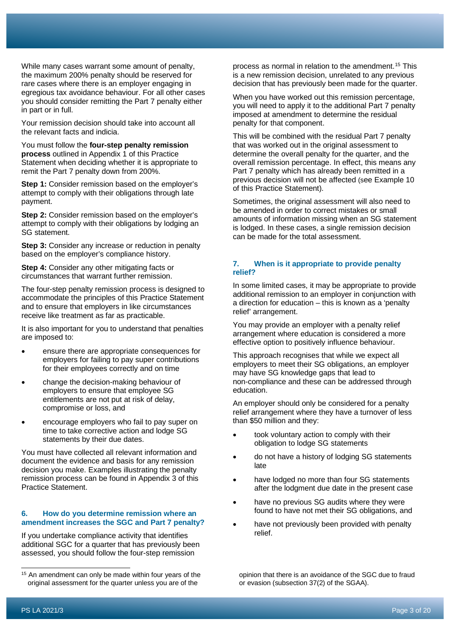While many cases warrant some amount of penalty, the maximum 200% penalty should be reserved for rare cases where there is an employer engaging in egregious tax avoidance behaviour. For all other cases you should consider remitting the Part 7 penalty either in part or in full.

Your remission decision should take into account all the relevant facts and indicia.

You must follow the **four-step penalty remission process** outlined in Appendix 1 of this Practice Statement when deciding whether it is appropriate to remit the Part 7 penalty down from 200%.

**Step 1:** Consider remission based on the employer's attempt to comply with their obligations through late payment.

**Step 2:** Consider remission based on the employer's attempt to comply with their obligations by lodging an SG statement.

**Step 3:** Consider any increase or reduction in penalty based on the employer's compliance history.

**Step 4:** Consider any other mitigating facts or circumstances that warrant further remission.

The four-step penalty remission process is designed to accommodate the principles of this Practice Statement and to ensure that employers in like circumstances receive like treatment as far as practicable.

It is also important for you to understand that penalties are imposed to:

- ensure there are appropriate consequences for employers for failing to pay super contributions for their employees correctly and on time
- change the decision-making behaviour of employers to ensure that employee SG entitlements are not put at risk of delay, compromise or loss, and
- encourage employers who fail to pay super on time to take corrective action and lodge SG statements by their due dates.

You must have collected all relevant information and document the evidence and basis for any remission decision you make. Examples illustrating the penalty remission process can be found in Appendix 3 of this Practice Statement.

#### **6. How do you determine remission where an amendment increases the SGC and Part 7 penalty?**

If you undertake compliance activity that identifies additional SGC for a quarter that has previously been assessed, you should follow the four-step remission

process as normal in relation to the amendment. [15](#page-2-0) This is a new remission decision, unrelated to any previous decision that has previously been made for the quarter.

When you have worked out this remission percentage, you will need to apply it to the additional Part 7 penalty imposed at amendment to determine the residual penalty for that component.

This will be combined with the residual Part 7 penalty that was worked out in the original assessment to determine the overall penalty for the quarter, and the overall remission percentage. In effect, this means any Part 7 penalty which has already been remitted in a previous decision will not be affected (see Example 10 of this Practice Statement).

Sometimes, the original assessment will also need to be amended in order to correct mistakes or small amounts of information missing when an SG statement is lodged. In these cases, a single remission decision can be made for the total assessment.

#### **7. When is it appropriate to provide penalty relief?**

In some limited cases, it may be appropriate to provide additional remission to an employer in conjunction with a direction for education – this is known as a 'penalty relief' arrangement.

You may provide an employer with a penalty relief arrangement where education is considered a more effective option to positively influence behaviour.

This approach recognises that while we expect all employers to meet their SG obligations, an employer may have SG knowledge gaps that lead to non-compliance and these can be addressed through education.

An employer should only be considered for a penalty relief arrangement where they have a turnover of less than \$50 million and they:

- took voluntary action to comply with their obligation to lodge SG statements
- do not have a history of lodging SG statements late
- have lodged no more than four SG statements after the lodgment due date in the present case
- have no previous SG audits where they were found to have not met their SG obligations, and
- have not previously been provided with penalty relief.

opinion that there is an avoidance of the SGC due to fraud or evasion (subsection 37(2) of the SGAA).

<span id="page-2-0"></span><sup>&</sup>lt;sup>15</sup> An amendment can only be made within four years of the original assessment for the quarter unless you are of the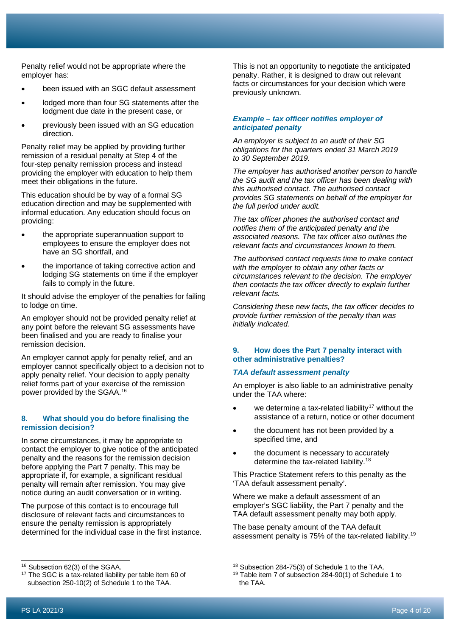Penalty relief would not be appropriate where the employer has:

- been issued with an SGC default assessment
- lodged more than four SG statements after the lodgment due date in the present case, or
- previously been issued with an SG education direction.

Penalty relief may be applied by providing further remission of a residual penalty at Step 4 of the four-step penalty remission process and instead providing the employer with education to help them meet their obligations in the future.

This education should be by way of a formal SG education direction and may be supplemented with informal education. Any education should focus on providing:

- the appropriate superannuation support to employees to ensure the employer does not have an SG shortfall, and
- the importance of taking corrective action and lodging SG statements on time if the employer fails to comply in the future.

It should advise the employer of the penalties for failing to lodge on time.

An employer should not be provided penalty relief at any point before the relevant SG assessments have been finalised and you are ready to finalise your remission decision.

An employer cannot apply for penalty relief, and an employer cannot specifically object to a decision not to apply penalty relief. Your decision to apply penalty relief forms part of your exercise of the remission power provided by the SGAA.[16](#page-3-0)

#### **8. What should you do before finalising the remission decision?**

In some circumstances, it may be appropriate to contact the employer to give notice of the anticipated penalty and the reasons for the remission decision before applying the Part 7 penalty. This may be appropriate if, for example, a significant residual penalty will remain after remission. You may give notice during an audit conversation or in writing.

The purpose of this contact is to encourage full disclosure of relevant facts and circumstances to ensure the penalty remission is appropriately determined for the individual case in the first instance. This is not an opportunity to negotiate the anticipated penalty. Rather, it is designed to draw out relevant facts or circumstances for your decision which were previously unknown.

#### *Example – tax officer notifies employer of anticipated penalty*

*An employer is subject to an audit of their SG obligations for the quarters ended 31 March 2019 to 30 September 2019.*

*The employer has authorised another person to handle the SG audit and the tax officer has been dealing with this authorised contact. The authorised contact provides SG statements on behalf of the employer for the full period under audit.*

*The tax officer phones the authorised contact and notifies them of the anticipated penalty and the associated reasons. The tax officer also outlines the relevant facts and circumstances known to them.*

*The authorised contact requests time to make contact with the employer to obtain any other facts or circumstances relevant to the decision. The employer then contacts the tax officer directly to explain further relevant facts.*

*Considering these new facts, the tax officer decides to provide further remission of the penalty than was initially indicated.*

#### **9. How does the Part 7 penalty interact with other administrative penalties?**

#### *TAA default assessment penalty*

An employer is also liable to an administrative penalty under the TAA where:

- we determine a tax-related liability<sup>[17](#page-3-1)</sup> without the assistance of a return, notice or other document
- the document has not been provided by a specified time, and
- the document is necessary to accurately determine the tax-related liability.<sup>[18](#page-3-0)</sup>

This Practice Statement refers to this penalty as the 'TAA default assessment penalty'.

Where we make a default assessment of an employer's SGC liability, the Part 7 penalty and the TAA default assessment penalty may both apply.

The base penalty amount of the TAA default assessment penalty is 75% of the tax-related liability.[19](#page-3-1)

<span id="page-3-0"></span><sup>16</sup> Subsection 62(3) of the SGAA.

<span id="page-3-1"></span><sup>&</sup>lt;sup>17</sup> The SGC is a tax-related liability per table item 60 of subsection 250-10(2) of Schedule 1 to the TAA.

<sup>18</sup> Subsection 284-75(3) of Schedule 1 to the TAA.

<sup>19</sup> Table item 7 of subsection 284-90(1) of Schedule 1 to the TAA.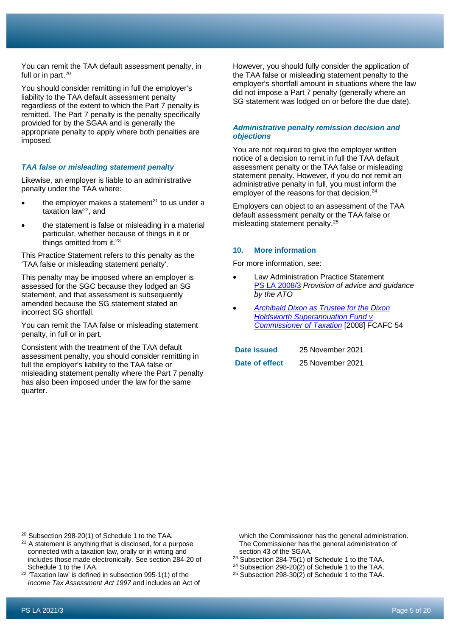You should consider remitting in full the employer's liability to the TAA default assessment penalty regardless of the extent to which the Part 7 penalty is remitted. The Part 7 penalty is the penalty specifically provided for by the SGAA and is generally the appropriate penalty to apply where both penalties are imposed.

#### *TAA false or misleading statement penalty*

Likewise, an employer is liable to an administrative penalty under the TAA where:

- the employer makes a statement $^{21}$  $^{21}$  $^{21}$  to us under a taxation law[22](#page-4-2), and
- the statement is false or misleading in a material particular, whether because of things in it or things omitted from it.<sup>[23](#page-4-3)</sup>

This Practice Statement refers to this penalty as the 'TAA false or misleading statement penalty'.

This penalty may be imposed where an employer is assessed for the SGC because they lodged an SG statement, and that assessment is subsequently amended because the SG statement stated an incorrect SG shortfall.

You can remit the TAA false or misleading statement penalty, in full or in part.

Consistent with the treatment of the TAA default assessment penalty, you should consider remitting in full the employer's liability to the TAA false or misleading statement penalty where the Part 7 penalty has also been imposed under the law for the same quarter.

However, you should fully consider the application of the TAA false or misleading statement penalty to the employer's shortfall amount in situations where the law did not impose a Part 7 penalty (generally where an SG statement was lodged on or before the due date).

#### *Administrative penalty remission decision and objections*

You are not required to give the employer written notice of a decision to remit in full the TAA default assessment penalty or the TAA false or misleading statement penalty. However, if you do not remit an administrative penalty in full, you must inform the employer of the reasons for that decision.<sup>[24](#page-4-4)</sup>

Employers can object to an assessment of the TAA default assessment penalty or the TAA false or misleading statement penalty.[25](#page-4-2)

#### **10. More information**

For more information, see:

- Law Administration Practice Statement PS LA [2008/3](http://ato.gov.au/law/view/document?DocID=PSR/PS20083/NAT/ATO/00001) *Provision of advice and guidance by the ATO*
- *[Archibald Dixon as Trustee for the Dixon](https://www.ato.gov.au/law/view/document?DocID=JUD/2008ATC20-015/00001)  [Holdsworth Superannuation](https://www.ato.gov.au/law/view/document?DocID=JUD/2008ATC20-015/00001) Fund v [Commissioner of Taxation](https://www.ato.gov.au/law/view/document?DocID=JUD/2008ATC20-015/00001)* [2008] FCAFC 54

| Date issued    | 25 November 2021 |
|----------------|------------------|
| Date of effect | 25 November 2021 |

which the Commissioner has the general administration. The Commissioner has the general administration of section 43 of the SGAA.

- <sup>23</sup> Subsection 284-75(1) of Schedule 1 to the TAA.
- <sup>24</sup> Subsection 298-20 $(2)$  of Schedule 1 to the TAA.
- <sup>25</sup> Subsection 298-30 $(2)$  of Schedule 1 to the TAA.

<span id="page-4-0"></span><sup>20</sup> Subsection 298-20(1) of Schedule 1 to the TAA.

<span id="page-4-1"></span><sup>&</sup>lt;sup>21</sup> A statement is anything that is disclosed, for a purpose connected with a taxation law, orally or in writing and includes those made electronically. See section 284-20 of Schedule 1 to the TAA.

<span id="page-4-4"></span><span id="page-4-3"></span><span id="page-4-2"></span><sup>22</sup> 'Taxation law' is defined in subsection 995-1(1) of the *Income Tax Assessment Act 1997* and includes an Act of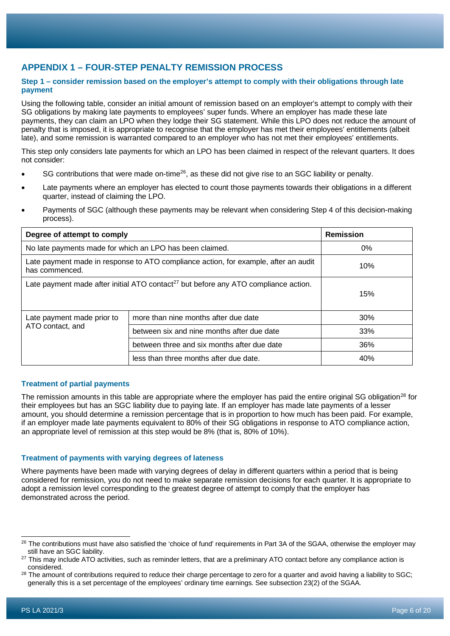# **APPENDIX 1 – FOUR-STEP PENALTY REMISSION PROCESS**

#### **Step 1 – consider remission based on the employer's attempt to comply with their obligations through late payment**

Using the following table, consider an initial amount of remission based on an employer's attempt to comply with their SG obligations by making late payments to employees' super funds. Where an employer has made these late payments, they can claim an LPO when they lodge their SG statement. While this LPO does not reduce the amount of penalty that is imposed, it is appropriate to recognise that the employer has met their employees' entitlements (albeit late), and some remission is warranted compared to an employer who has not met their employees' entitlements.

This step only considers late payments for which an LPO has been claimed in respect of the relevant quarters. It does not consider:

- SG contributions that were made on-time<sup>[26](#page-5-0)</sup>, as these did not give rise to an SGC liability or penalty.
- Late payments where an employer has elected to count those payments towards their obligations in a different quarter, instead of claiming the LPO.
- Payments of SGC (although these payments may be relevant when considering Step 4 of this decision-making process).

| Degree of attempt to comply                                                                           |                                             | <b>Remission</b> |
|-------------------------------------------------------------------------------------------------------|---------------------------------------------|------------------|
| No late payments made for which an LPO has been claimed.                                              |                                             | 0%               |
| Late payment made in response to ATO compliance action, for example, after an audit<br>has commenced. |                                             | 10%              |
| Late payment made after initial ATO contact <sup>27</sup> but before any ATO compliance action.       |                                             | 15%              |
| Late payment made prior to<br>ATO contact, and                                                        | more than nine months after due date        | 30%              |
|                                                                                                       | between six and nine months after due date  | 33%              |
|                                                                                                       | between three and six months after due date | 36%              |
|                                                                                                       | less than three months after due date.      | 40%              |

#### **Treatment of partial payments**

The remission amounts in this table are appropriate where the employer has paid the entire original SG obligation<sup>[28](#page-5-2)</sup> for their employees but has an SGC liability due to paying late. If an employer has made late payments of a lesser amount, you should determine a remission percentage that is in proportion to how much has been paid. For example, if an employer made late payments equivalent to 80% of their SG obligations in response to ATO compliance action, an appropriate level of remission at this step would be 8% (that is, 80% of 10%).

#### **Treatment of payments with varying degrees of lateness**

Where payments have been made with varying degrees of delay in different quarters within a period that is being considered for remission, you do not need to make separate remission decisions for each quarter. It is appropriate to adopt a remission level corresponding to the greatest degree of attempt to comply that the employer has demonstrated across the period.

<span id="page-5-0"></span><sup>&</sup>lt;sup>26</sup> The contributions must have also satisfied the 'choice of fund' requirements in Part 3A of the SGAA, otherwise the employer may still have an SGC liability.

<span id="page-5-1"></span><sup>&</sup>lt;sup>27</sup> This may include ATO activities, such as reminder letters, that are a preliminary ATO contact before any compliance action is considered.

<span id="page-5-2"></span><sup>&</sup>lt;sup>28</sup> The amount of contributions required to reduce their charge percentage to zero for a quarter and avoid having a liability to SGC; generally this is a set percentage of the employees' ordinary time earnings. See subsection 23(2) of the SGAA.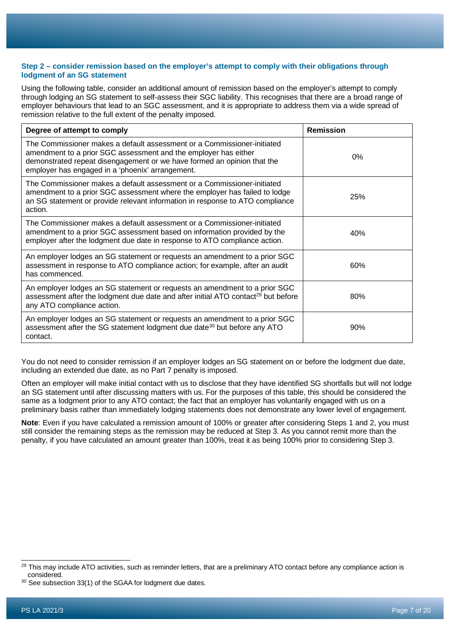#### **Step 2 – consider remission based on the employer's attempt to comply with their obligations through lodgment of an SG statement**

Using the following table, consider an additional amount of remission based on the employer's attempt to comply through lodging an SG statement to self-assess their SGC liability. This recognises that there are a broad range of employer behaviours that lead to an SGC assessment, and it is appropriate to address them via a wide spread of remission relative to the full extent of the penalty imposed.

| Degree of attempt to comply                                                                                                                                                                                                                                               | <b>Remission</b> |
|---------------------------------------------------------------------------------------------------------------------------------------------------------------------------------------------------------------------------------------------------------------------------|------------------|
| The Commissioner makes a default assessment or a Commissioner-initiated<br>amendment to a prior SGC assessment and the employer has either<br>demonstrated repeat disengagement or we have formed an opinion that the<br>employer has engaged in a 'phoenix' arrangement. | 0%               |
| The Commissioner makes a default assessment or a Commissioner-initiated<br>amendment to a prior SGC assessment where the employer has failed to lodge<br>an SG statement or provide relevant information in response to ATO compliance<br>action.                         | 25%              |
| The Commissioner makes a default assessment or a Commissioner-initiated<br>amendment to a prior SGC assessment based on information provided by the<br>employer after the lodgment due date in response to ATO compliance action.                                         | 40%              |
| An employer lodges an SG statement or requests an amendment to a prior SGC<br>assessment in response to ATO compliance action; for example, after an audit<br>has commenced.                                                                                              | 60%              |
| An employer lodges an SG statement or requests an amendment to a prior SGC<br>assessment after the lodgment due date and after initial ATO contact <sup>29</sup> but before<br>any ATO compliance action.                                                                 | 80%              |
| An employer lodges an SG statement or requests an amendment to a prior SGC<br>assessment after the SG statement lodgment due date <sup>30</sup> but before any ATO<br>contact.                                                                                            | 90%              |

You do not need to consider remission if an employer lodges an SG statement on or before the lodgment due date, including an extended due date, as no Part 7 penalty is imposed.

Often an employer will make initial contact with us to disclose that they have identified SG shortfalls but will not lodge an SG statement until after discussing matters with us. For the purposes of this table, this should be considered the same as a lodgment prior to any ATO contact; the fact that an employer has voluntarily engaged with us on a preliminary basis rather than immediately lodging statements does not demonstrate any lower level of engagement.

**Note**: Even if you have calculated a remission amount of 100% or greater after considering Steps 1 and 2, you must still consider the remaining steps as the remission may be reduced at Step 3. As you cannot remit more than the penalty, if you have calculated an amount greater than 100%, treat it as being 100% prior to considering Step 3.

<span id="page-6-0"></span><sup>&</sup>lt;sup>29</sup> This may include ATO activities, such as reminder letters, that are a preliminary ATO contact before any compliance action is considered.

<span id="page-6-1"></span><sup>&</sup>lt;sup>30</sup> See subsection 33(1) of the SGAA for lodgment due dates.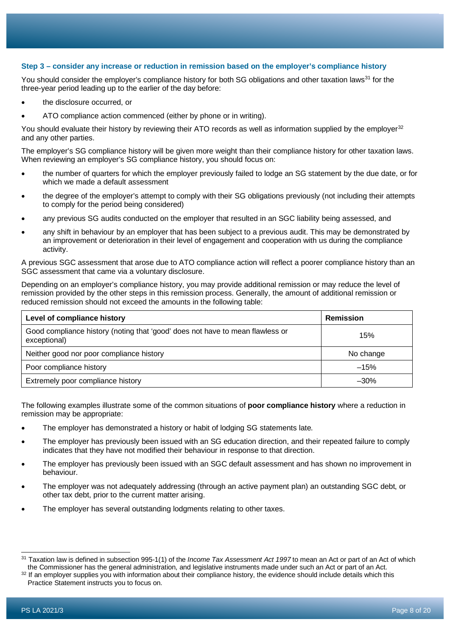#### **Step 3 – consider any increase or reduction in remission based on the employer's compliance history**

You should consider the employer's compliance history for both SG obligations and other taxation laws<sup>[31](#page-7-0)</sup> for the three-year period leading up to the earlier of the day before:

- the disclosure occurred, or
- ATO compliance action commenced (either by phone or in writing).

You should evaluate their history by reviewing their ATO records as well as information supplied by the employer<sup>[32](#page-7-1)</sup> and any other parties.

The employer's SG compliance history will be given more weight than their compliance history for other taxation laws. When reviewing an employer's SG compliance history, you should focus on:

- the number of quarters for which the employer previously failed to lodge an SG statement by the due date, or for which we made a default assessment
- the degree of the employer's attempt to comply with their SG obligations previously (not including their attempts to comply for the period being considered)
- any previous SG audits conducted on the employer that resulted in an SGC liability being assessed, and
- any shift in behaviour by an employer that has been subject to a previous audit. This may be demonstrated by an improvement or deterioration in their level of engagement and cooperation with us during the compliance activity.

A previous SGC assessment that arose due to ATO compliance action will reflect a poorer compliance history than an SGC assessment that came via a voluntary disclosure.

Depending on an employer's compliance history, you may provide additional remission or may reduce the level of remission provided by the other steps in this remission process. Generally, the amount of additional remission or reduced remission should not exceed the amounts in the following table:

| Level of compliance history                                                                   | <b>Remission</b> |
|-----------------------------------------------------------------------------------------------|------------------|
| Good compliance history (noting that 'good' does not have to mean flawless or<br>exceptional) | 15%              |
| Neither good nor poor compliance history                                                      | No change        |
| Poor compliance history                                                                       | $-15%$           |
| Extremely poor compliance history                                                             | $-30\%$          |

The following examples illustrate some of the common situations of **poor compliance history** where a reduction in remission may be appropriate:

- The employer has demonstrated a history or habit of lodging SG statements late.
- The employer has previously been issued with an SG education direction, and their repeated failure to comply indicates that they have not modified their behaviour in response to that direction.
- The employer has previously been issued with an SGC default assessment and has shown no improvement in behaviour.
- The employer was not adequately addressing (through an active payment plan) an outstanding SGC debt, or other tax debt, prior to the current matter arising.
- The employer has several outstanding lodgments relating to other taxes.

<span id="page-7-0"></span><sup>31</sup> Taxation law is defined in subsection 995-1(1) of the *Income Tax Assessment Act 1997* to mean an Act or part of an Act of which the Commissioner has the general administration, and legislative instruments made under such an Act or part of an Act.

<span id="page-7-1"></span><sup>&</sup>lt;sup>32</sup> If an employer supplies you with information about their compliance history, the evidence should include details which this Practice Statement instructs you to focus on.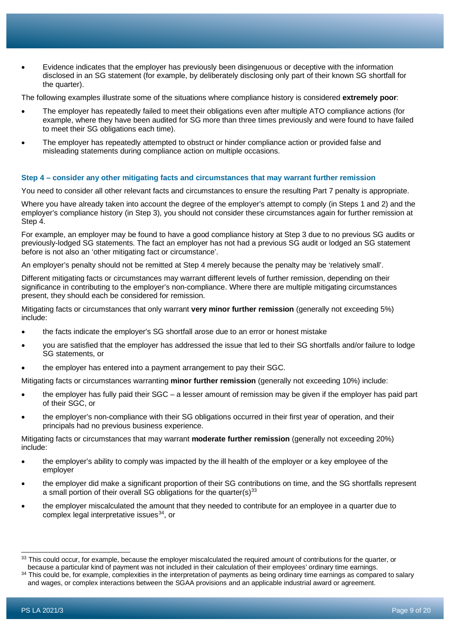• Evidence indicates that the employer has previously been disingenuous or deceptive with the information disclosed in an SG statement (for example, by deliberately disclosing only part of their known SG shortfall for the quarter).

The following examples illustrate some of the situations where compliance history is considered **extremely poor**:

- The employer has repeatedly failed to meet their obligations even after multiple ATO compliance actions (for example, where they have been audited for SG more than three times previously and were found to have failed to meet their SG obligations each time).
- The employer has repeatedly attempted to obstruct or hinder compliance action or provided false and misleading statements during compliance action on multiple occasions.

#### **Step 4 – consider any other mitigating facts and circumstances that may warrant further remission**

You need to consider all other relevant facts and circumstances to ensure the resulting Part 7 penalty is appropriate.

Where you have already taken into account the degree of the employer's attempt to comply (in Steps 1 and 2) and the employer's compliance history (in Step 3), you should not consider these circumstances again for further remission at Step 4.

For example, an employer may be found to have a good compliance history at Step 3 due to no previous SG audits or previously-lodged SG statements. The fact an employer has not had a previous SG audit or lodged an SG statement before is not also an 'other mitigating fact or circumstance'.

An employer's penalty should not be remitted at Step 4 merely because the penalty may be 'relatively small'.

Different mitigating facts or circumstances may warrant different levels of further remission, depending on their significance in contributing to the employer's non-compliance. Where there are multiple mitigating circumstances present, they should each be considered for remission.

Mitigating facts or circumstances that only warrant **very minor further remission** (generally not exceeding 5%) include:

- the facts indicate the employer's SG shortfall arose due to an error or honest mistake
- you are satisfied that the employer has addressed the issue that led to their SG shortfalls and/or failure to lodge SG statements, or
- the employer has entered into a payment arrangement to pay their SGC.

Mitigating facts or circumstances warranting **minor further remission** (generally not exceeding 10%) include:

- the employer has fully paid their SGC a lesser amount of remission may be given if the employer has paid part of their SGC, or
- the employer's non-compliance with their SG obligations occurred in their first year of operation, and their principals had no previous business experience.

Mitigating facts or circumstances that may warrant **moderate further remission** (generally not exceeding 20%) include:

- the employer's ability to comply was impacted by the ill health of the employer or a key employee of the employer
- the employer did make a significant proportion of their SG contributions on time, and the SG shortfalls represent a small portion of their overall SG obligations for the quarter(s) $33$
- the employer miscalculated the amount that they needed to contribute for an employee in a quarter due to complex legal interpretative issues<sup>[34](#page-8-1)</sup>, or

<span id="page-8-0"></span><sup>&</sup>lt;sup>33</sup> This could occur, for example, because the employer miscalculated the required amount of contributions for the quarter, or because a particular kind of payment was not included in their calculation of their employees' ordinary time earnings.

<span id="page-8-1"></span><sup>&</sup>lt;sup>34</sup> This could be, for example, complexities in the interpretation of payments as being ordinary time earnings as compared to salary and wages, or complex interactions between the SGAA provisions and an applicable industrial award or agreement.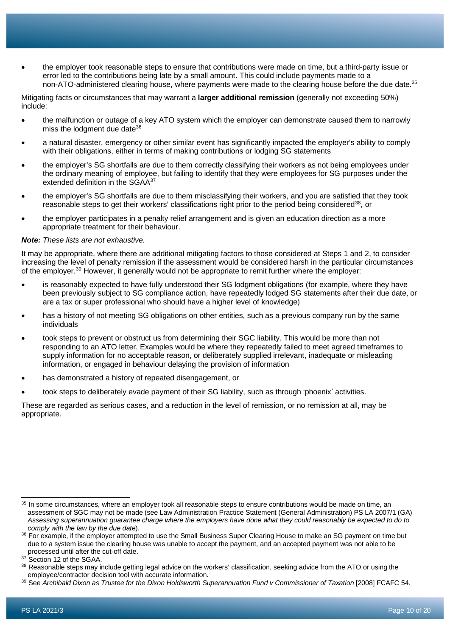• the employer took reasonable steps to ensure that contributions were made on time, but a third-party issue or error led to the contributions being late by a small amount. This could include payments made to a non-ATO-administered clearing house, where payments were made to the clearing house before the due date.<sup>[35](#page-9-0)</sup>

Mitigating facts or circumstances that may warrant a **larger additional remission** (generally not exceeding 50%) include:

- the malfunction or outage of a key ATO system which the employer can demonstrate caused them to narrowly miss the lodgment due date<sup>[36](#page-9-1)</sup>
- a natural disaster, emergency or other similar event has significantly impacted the employer's ability to comply with their obligations, either in terms of making contributions or lodging SG statements
- the employer's SG shortfalls are due to them correctly classifying their workers as not being employees under the ordinary meaning of employee, but failing to identify that they were employees for SG purposes under the extended definition in the SGAA<sup>[37](#page-9-2)</sup>
- the employer's SG shortfalls are due to them misclassifying their workers, and you are satisfied that they took reasonable steps to get their workers' classifications right prior to the period being considered<sup>[38](#page-9-3)</sup>, or
- the employer participates in a penalty relief arrangement and is given an education direction as a more appropriate treatment for their behaviour.

#### *Note: These lists are not exhaustive.*

It may be appropriate, where there are additional mitigating factors to those considered at Steps 1 and 2, to consider increasing the level of penalty remission if the assessment would be considered harsh in the particular circumstances of the employer.<sup>[39](#page-9-4)</sup> However, it generally would not be appropriate to remit further where the employer:

- is reasonably expected to have fully understood their SG lodgment obligations (for example, where they have been previously subject to SG compliance action, have repeatedly lodged SG statements after their due date, or are a tax or super professional who should have a higher level of knowledge)
- has a history of not meeting SG obligations on other entities, such as a previous company run by the same individuals
- took steps to prevent or obstruct us from determining their SGC liability. This would be more than not responding to an ATO letter. Examples would be where they repeatedly failed to meet agreed timeframes to supply information for no acceptable reason, or deliberately supplied irrelevant, inadequate or misleading information, or engaged in behaviour delaying the provision of information
- has demonstrated a history of repeated disengagement, or
- took steps to deliberately evade payment of their SG liability, such as through 'phoenix' activities.

These are regarded as serious cases, and a reduction in the level of remission, or no remission at all, may be appropriate.

<span id="page-9-0"></span><sup>&</sup>lt;sup>35</sup> In some circumstances, where an employer took all reasonable steps to ensure contributions would be made on time, an assessment of SGC may not be made (see Law Administration Practice Statement (General Administration) PS LA 2007/1 (GA) *Assessing superannuation guarantee charge where the employers have done what they could reasonably be expected to do to comply with the law by the due date*).

<span id="page-9-1"></span><sup>&</sup>lt;sup>36</sup> For example, if the employer attempted to use the Small Business Super Clearing House to make an SG payment on time but due to a system issue the clearing house was unable to accept the payment, and an accepted payment was not able to be processed until after the cut-off date.

<span id="page-9-2"></span><sup>&</sup>lt;sup>37</sup> Section 12 of the SGAA.

<span id="page-9-3"></span><sup>&</sup>lt;sup>38</sup> Reasonable steps may include getting legal advice on the workers' classification, seeking advice from the ATO or using the employee/contractor decision tool with accurate information.

<span id="page-9-4"></span><sup>39</sup> See *Archibald Dixon as Trustee for the Dixon Holdsworth Superannuation Fund v Commissioner of Taxation* [2008] FCAFC 54.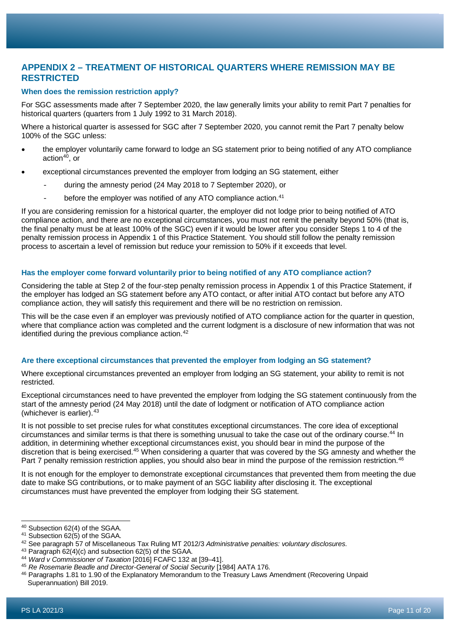# **APPENDIX 2 – TREATMENT OF HISTORICAL QUARTERS WHERE REMISSION MAY BE RESTRICTED**

#### **When does the remission restriction apply?**

For SGC assessments made after 7 September 2020, the law generally limits your ability to remit Part 7 penalties for historical quarters (quarters from 1 July 1992 to 31 March 2018).

Where a historical quarter is assessed for SGC after 7 September 2020, you cannot remit the Part 7 penalty below 100% of the SGC unless:

- the employer voluntarily came forward to lodge an SG statement prior to being notified of any ATO compliance action $40$ , or
- exceptional circumstances prevented the employer from lodging an SG statement, either
	- during the amnesty period (24 May 2018 to 7 September 2020), or
	- before the employer was notified of any ATO compliance action.<sup>[41](#page-10-1)</sup>

If you are considering remission for a historical quarter, the employer did not lodge prior to being notified of ATO compliance action, and there are no exceptional circumstances, you must not remit the penalty beyond 50% (that is, the final penalty must be at least 100% of the SGC) even if it would be lower after you consider Steps 1 to 4 of the penalty remission process in Appendix 1 of this Practice Statement. You should still follow the penalty remission process to ascertain a level of remission but reduce your remission to 50% if it exceeds that level.

#### **Has the employer come forward voluntarily prior to being notified of any ATO compliance action?**

Considering the table at Step 2 of the four-step penalty remission process in Appendix 1 of this Practice Statement, if the employer has lodged an SG statement before any ATO contact, or after initial ATO contact but before any ATO compliance action, they will satisfy this requirement and there will be no restriction on remission.

This will be the case even if an employer was previously notified of ATO compliance action for the quarter in question, where that compliance action was completed and the current lodgment is a disclosure of new information that was not identified during the previous compliance action.<sup>[42](#page-10-2)</sup>

#### **Are there exceptional circumstances that prevented the employer from lodging an SG statement?**

Where exceptional circumstances prevented an employer from lodging an SG statement, your ability to remit is not restricted.

Exceptional circumstances need to have prevented the employer from lodging the SG statement continuously from the start of the amnesty period (24 May 2018) until the date of lodgment or notification of ATO compliance action (whichever is earlier).[43](#page-10-3)

It is not possible to set precise rules for what constitutes exceptional circumstances. The core idea of exceptional circumstances and similar terms is that there is something unusual to take the case out of the ordinary course.[44](#page-10-4) In addition, in determining whether exceptional circumstances exist, you should bear in mind the purpose of the discretion that is being exercised.<sup>[45](#page-10-5)</sup> When considering a quarter that was covered by the SG amnesty and whether the Part 7 penalty remission restriction applies, you should also bear in mind the purpose of the remission restriction.<sup>[46](#page-10-6)</sup>

It is not enough for the employer to demonstrate exceptional circumstances that prevented them from meeting the due date to make SG contributions, or to make payment of an SGC liability after disclosing it. The exceptional circumstances must have prevented the employer from lodging their SG statement.

<span id="page-10-0"></span><sup>40</sup> Subsection 62(4) of the SGAA.

<span id="page-10-1"></span> $41$  Subsection 62(5) of the SGAA.

<span id="page-10-2"></span><sup>42</sup> See paragraph 57 of Miscellaneous Tax Ruling MT 2012/3 *Administrative penalties: voluntary disclosures*.

<span id="page-10-3"></span><sup>43</sup> Paragraph 62(4)(c) and subsection 62(5) of the SGAA.

<span id="page-10-4"></span><sup>44</sup> *Ward v Commissioner of Taxation* [2016] FCAFC 132 at [39–41].

<span id="page-10-5"></span><sup>45</sup> *Re Rosemarie Beadle and Director-General of Social Security* [1984] AATA 176.

<span id="page-10-6"></span><sup>46</sup> Paragraphs 1.81 to 1.90 of the Explanatory Memorandum to the Treasury Laws Amendment (Recovering Unpaid Superannuation) Bill 2019.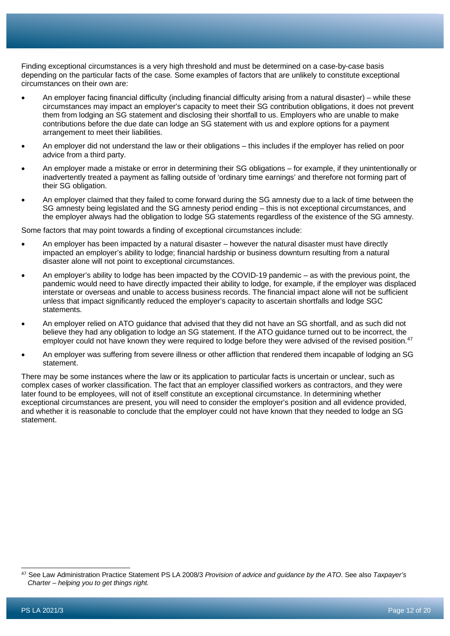Finding exceptional circumstances is a very high threshold and must be determined on a case-by-case basis depending on the particular facts of the case. Some examples of factors that are unlikely to constitute exceptional circumstances on their own are:

- An employer facing financial difficulty (including financial difficulty arising from a natural disaster) while these circumstances may impact an employer's capacity to meet their SG contribution obligations, it does not prevent them from lodging an SG statement and disclosing their shortfall to us. Employers who are unable to make contributions before the due date can lodge an SG statement with us and explore options for a payment arrangement to meet their liabilities.
- An employer did not understand the law or their obligations this includes if the employer has relied on poor advice from a third party.
- An employer made a mistake or error in determining their SG obligations for example, if they unintentionally or inadvertently treated a payment as falling outside of 'ordinary time earnings' and therefore not forming part of their SG obligation.
- An employer claimed that they failed to come forward during the SG amnesty due to a lack of time between the SG amnesty being legislated and the SG amnesty period ending – this is not exceptional circumstances, and the employer always had the obligation to lodge SG statements regardless of the existence of the SG amnesty.

Some factors that may point towards a finding of exceptional circumstances include:

- An employer has been impacted by a natural disaster however the natural disaster must have directly impacted an employer's ability to lodge; financial hardship or business downturn resulting from a natural disaster alone will not point to exceptional circumstances.
- An employer's ability to lodge has been impacted by the COVID-19 pandemic as with the previous point, the pandemic would need to have directly impacted their ability to lodge, for example, if the employer was displaced interstate or overseas and unable to access business records. The financial impact alone will not be sufficient unless that impact significantly reduced the employer's capacity to ascertain shortfalls and lodge SGC statements.
- An employer relied on ATO guidance that advised that they did not have an SG shortfall, and as such did not believe they had any obligation to lodge an SG statement. If the ATO guidance turned out to be incorrect, the employer could not have known they were required to lodge before they were advised of the revised position.<sup>[47](#page-11-0)</sup>
- An employer was suffering from severe illness or other affliction that rendered them incapable of lodging an SG statement.

There may be some instances where the law or its application to particular facts is uncertain or unclear, such as complex cases of worker classification. The fact that an employer classified workers as contractors, and they were later found to be employees, will not of itself constitute an exceptional circumstance. In determining whether exceptional circumstances are present, you will need to consider the employer's position and all evidence provided, and whether it is reasonable to conclude that the employer could not have known that they needed to lodge an SG statement.

<span id="page-11-0"></span><sup>47</sup> See Law Administration Practice Statement PS LA 2008/3 *Provision of advice and guidance by the ATO*. See also *Taxpayer's Charter – helping you to get things right.*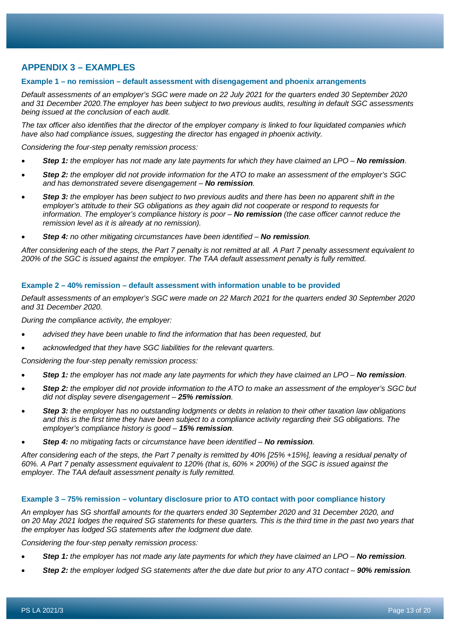# **APPENDIX 3 – EXAMPLES**

#### **Example 1 – no remission – default assessment with disengagement and phoenix arrangements**

*Default assessments of an employer's SGC were made on 22 July 2021 for the quarters ended 30 September 2020 and 31 December 2020.The employer has been subject to two previous audits, resulting in default SGC assessments being issued at the conclusion of each audit.*

*The tax officer also identifies that the director of the employer company is linked to four liquidated companies which have also had compliance issues, suggesting the director has engaged in phoenix activity.*

*Considering the four-step penalty remission process:*

- *Step 1: the employer has not made any late payments for which they have claimed an LPO – No remission.*
- *Step 2: the employer did not provide information for the ATO to make an assessment of the employer's SGC and has demonstrated severe disengagement – No remission.*
- *Step 3: the employer has been subject to two previous audits and there has been no apparent shift in the employer's attitude to their SG obligations as they again did not cooperate or respond to requests for information. The employer's compliance history is poor – No remission (the case officer cannot reduce the remission level as it is already at no remission).*
- *Step 4: no other mitigating circumstances have been identified – No remission.*

*After considering each of the steps, the Part 7 penalty is not remitted at all. A Part 7 penalty assessment equivalent to 200% of the SGC is issued against the employer. The TAA default assessment penalty is fully remitted.*

#### **Example 2 – 40% remission – default assessment with information unable to be provided**

*Default assessments of an employer's SGC were made on 22 March 2021 for the quarters ended 30 September 2020 and 31 December 2020.*

*During the compliance activity, the employer:*

- *advised they have been unable to find the information that has been requested, but*
- *acknowledged that they have SGC liabilities for the relevant quarters.*

*Considering the four-step penalty remission process:*

- **Step 1:** the employer has not made any late payments for which they have claimed an LPO No remission.
- *Step 2: the employer did not provide information to the ATO to make an assessment of the employer's SGC but did not display severe disengagement – 25% remission.*
- *Step 3: the employer has no outstanding lodgments or debts in relation to their other taxation law obligations and this is the first time they have been subject to a compliance activity regarding their SG obligations. The employer's compliance history is good – 15% remission.*
- *Step 4: no mitigating facts or circumstance have been identified – No remission.*

*After considering each of the steps, the Part 7 penalty is remitted by 40% [25% +15%], leaving a residual penalty of 60%. A Part 7 penalty assessment equivalent to 120% (that is, 60% × 200%) of the SGC is issued against the employer. The TAA default assessment penalty is fully remitted.*

#### **Example 3 – 75% remission – voluntary disclosure prior to ATO contact with poor compliance history**

*An employer has SG shortfall amounts for the quarters ended 30 September 2020 and 31 December 2020, and on 20 May 2021 lodges the required SG statements for these quarters. This is the third time in the past two years that the employer has lodged SG statements after the lodgment due date.*

*Considering the four-step penalty remission process:*

- **Step 1:** the employer has not made any late payments for which they have claimed an LPO No remission.
- *Step 2: the employer lodged SG statements after the due date but prior to any ATO contact – 90% remission.*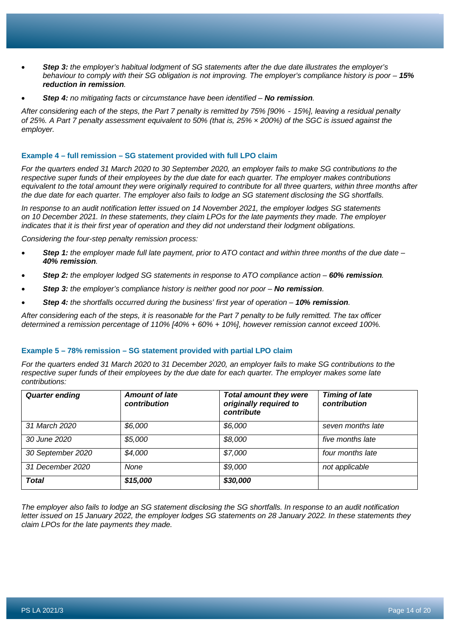- *Step 3: the employer's habitual lodgment of SG statements after the due date illustrates the employer's behaviour to comply with their SG obligation is not improving. The employer's compliance history is poor – 15% reduction in remission.*
- *Step 4: no mitigating facts or circumstance have been identified – No remission.*

*After considering each of the steps, the Part 7 penalty is remitted by 75% [90% - 15%], leaving a residual penalty of 25%. A Part 7 penalty assessment equivalent to 50% (that is, 25% × 200%) of the SGC is issued against the employer.*

#### **Example 4 – full remission – SG statement provided with full LPO claim**

*For the quarters ended 31 March 2020 to 30 September 2020, an employer fails to make SG contributions to the respective super funds of their employees by the due date for each quarter. The employer makes contributions equivalent to the total amount they were originally required to contribute for all three quarters, within three months after the due date for each quarter. The employer also fails to lodge an SG statement disclosing the SG shortfalls.*

*In response to an audit notification letter issued on 14 November 2021, the employer lodges SG statements on 10 December 2021. In these statements, they claim LPOs for the late payments they made. The employer indicates that it is their first year of operation and they did not understand their lodgment obligations.*

*Considering the four-step penalty remission process:*

- *Step 1: the employer made full late payment, prior to ATO contact and within three months of the due date – 40% remission.*
- *Step 2: the employer lodged SG statements in response to ATO compliance action – 60% remission.*
- *Step 3: the employer's compliance history is neither good nor poor – No remission.*
- *Step 4: the shortfalls occurred during the business' first year of operation – 10% remission.*

*After considering each of the steps, it is reasonable for the Part 7 penalty to be fully remitted. The tax officer determined a remission percentage of 110% [40% + 60% + 10%], however remission cannot exceed 100%.*

#### **Example 5 – 78% remission – SG statement provided with partial LPO claim**

*For the quarters ended 31 March 2020 to 31 December 2020, an employer fails to make SG contributions to the respective super funds of their employees by the due date for each quarter. The employer makes some late contributions:*

| <b>Quarter ending</b> | <b>Amount of late</b><br>contribution | <b>Total amount they were</b><br>originally required to<br>contribute | <b>Timing of late</b><br>contribution |
|-----------------------|---------------------------------------|-----------------------------------------------------------------------|---------------------------------------|
| 31 March 2020         | \$6,000                               | \$6,000                                                               | seven months late                     |
| 30 June 2020          | \$5,000                               | \$8,000                                                               | five months late                      |
| 30 September 2020     | \$4,000                               | \$7,000                                                               | four months late                      |
| 31 December 2020      | None                                  | \$9,000                                                               | not applicable                        |
| <b>Total</b>          | \$15,000                              | \$30,000                                                              |                                       |

*The employer also fails to lodge an SG statement disclosing the SG shortfalls. In response to an audit notification letter issued on 15 January 2022, the employer lodges SG statements on 28 January 2022. In these statements they claim LPOs for the late payments they made.*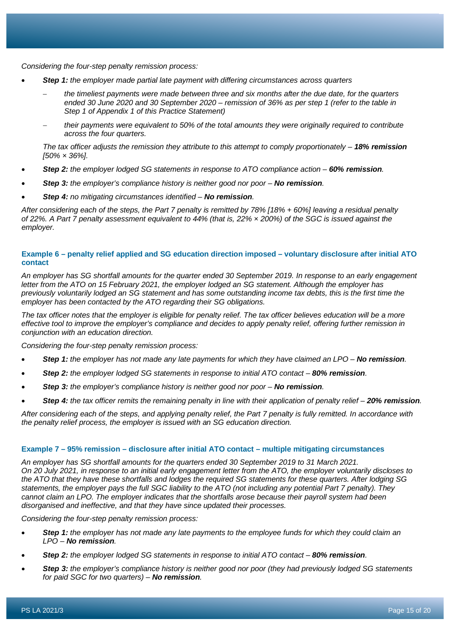*Considering the four-step penalty remission process:*

- *Step 1: the employer made partial late payment with differing circumstances across quarters*
	- − *the timeliest payments were made between three and six months after the due date, for the quarters ended 30 June 2020 and 30 September 2020 – remission of 36% as per step 1 (refer to the table in Step 1 of Appendix 1 of this Practice Statement)*
	- − *their payments were equivalent to 50% of the total amounts they were originally required to contribute across the four quarters.*

*The tax officer adjusts the remission they attribute to this attempt to comply proportionately – 18% remission [50% × 36%].*

- *Step 2: the employer lodged SG statements in response to ATO compliance action – 60% remission.*
- *Step 3: the employer's compliance history is neither good nor poor – No remission.*
- *Step 4: no mitigating circumstances identified – No remission.*

*After considering each of the steps, the Part 7 penalty is remitted by 78% [18% + 60%] leaving a residual penalty of 22%. A Part 7 penalty assessment equivalent to 44% (that is, 22% × 200%) of the SGC is issued against the employer.*

#### **Example 6 – penalty relief applied and SG education direction imposed – voluntary disclosure after initial ATO contact**

*An employer has SG shortfall amounts for the quarter ended 30 September 2019. In response to an early engagement letter from the ATO on 15 February 2021, the employer lodged an SG statement. Although the employer has previously voluntarily lodged an SG statement and has some outstanding income tax debts, this is the first time the employer has been contacted by the ATO regarding their SG obligations.*

*The tax officer notes that the employer is eligible for penalty relief. The tax officer believes education will be a more effective tool to improve the employer's compliance and decides to apply penalty relief, offering further remission in conjunction with an education direction.*

*Considering the four-step penalty remission process:*

- *Step 1: the employer has not made any late payments for which they have claimed an LPO – No remission.*
- *Step 2: the employer lodged SG statements in response to initial ATO contact – 80% remission.*
- *Step 3: the employer's compliance history is neither good nor poor – No remission.*
- *Step 4: the tax officer remits the remaining penalty in line with their application of penalty relief – 20% remission.*

*After considering each of the steps, and applying penalty relief, the Part 7 penalty is fully remitted. In accordance with the penalty relief process, the employer is issued with an SG education direction.*

#### **Example 7 – 95% remission – disclosure after initial ATO contact – multiple mitigating circumstances**

*An employer has SG shortfall amounts for the quarters ended 30 September 2019 to 31 March 2021. On 20 July 2021, in response to an initial early engagement letter from the ATO, the employer voluntarily discloses to the ATO that they have these shortfalls and lodges the required SG statements for these quarters. After lodging SG statements, the employer pays the full SGC liability to the ATO (not including any potential Part 7 penalty). They cannot claim an LPO. The employer indicates that the shortfalls arose because their payroll system had been disorganised and ineffective, and that they have since updated their processes.*

*Considering the four-step penalty remission process:*

- *Step 1: the employer has not made any late payments to the employee funds for which they could claim an LPO – No remission.*
- *Step 2: the employer lodged SG statements in response to initial ATO contact – 80% remission.*
- *Step 3: the employer's compliance history is neither good nor poor (they had previously lodged SG statements for paid SGC for two quarters) – No remission.*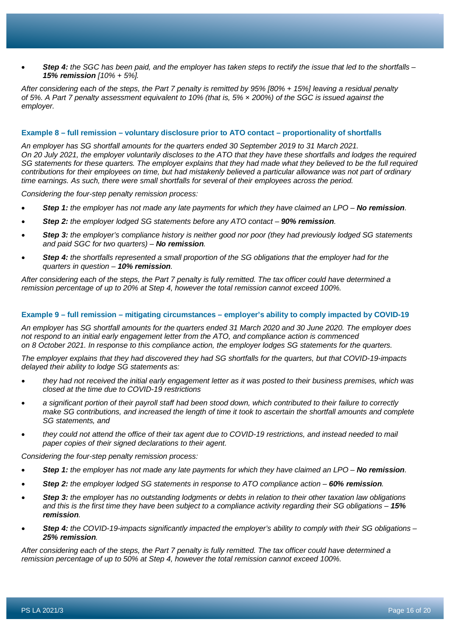• *Step 4: the SGC has been paid, and the employer has taken steps to rectify the issue that led to the shortfalls – 15% remission [10% + 5%].*

*After considering each of the steps, the Part 7 penalty is remitted by 95% [80% + 15%] leaving a residual penalty of 5%. A Part 7 penalty assessment equivalent to 10% (that is, 5% × 200%) of the SGC is issued against the employer.*

#### **Example 8 – full remission – voluntary disclosure prior to ATO contact – proportionality of shortfalls**

*An employer has SG shortfall amounts for the quarters ended 30 September 2019 to 31 March 2021. On 20 July 2021, the employer voluntarily discloses to the ATO that they have these shortfalls and lodges the required SG statements for these quarters. The employer explains that they had made what they believed to be the full required contributions for their employees on time, but had mistakenly believed a particular allowance was not part of ordinary time earnings. As such, there were small shortfalls for several of their employees across the period.*

*Considering the four-step penalty remission process:*

- **Step 1:** the employer has not made any late payments for which they have claimed an LPO No remission.
- *Step 2: the employer lodged SG statements before any ATO contact – 90% remission.*
- *Step 3: the employer's compliance history is neither good nor poor (they had previously lodged SG statements and paid SGC for two quarters) – No remission.*
- *Step 4: the shortfalls represented a small proportion of the SG obligations that the employer had for the quarters in question – 10% remission.*

*After considering each of the steps, the Part 7 penalty is fully remitted. The tax officer could have determined a remission percentage of up to 20% at Step 4, however the total remission cannot exceed 100%.*

#### **Example 9 – full remission – mitigating circumstances – employer's ability to comply impacted by COVID-19**

*An employer has SG shortfall amounts for the quarters ended 31 March 2020 and 30 June 2020. The employer does not respond to an initial early engagement letter from the ATO, and compliance action is commenced on 8 October 2021. In response to this compliance action, the employer lodges SG statements for the quarters.*

*The employer explains that they had discovered they had SG shortfalls for the quarters, but that COVID-19-impacts delayed their ability to lodge SG statements as:*

- *they had not received the initial early engagement letter as it was posted to their business premises, which was closed at the time due to COVID-19 restrictions*
- *a significant portion of their payroll staff had been stood down, which contributed to their failure to correctly make SG contributions, and increased the length of time it took to ascertain the shortfall amounts and complete SG statements, and*
- *they could not attend the office of their tax agent due to COVID-19 restrictions, and instead needed to mail paper copies of their signed declarations to their agent.*

*Considering the four-step penalty remission process:*

- **Step 1:** the employer has not made any late payments for which they have claimed an LPO No remission.
- *Step 2: the employer lodged SG statements in response to ATO compliance action – 60% remission.*
- *Step 3: the employer has no outstanding lodgments or debts in relation to their other taxation law obligations and this is the first time they have been subject to a compliance activity regarding their SG obligations – 15% remission.*
- *Step 4: the COVID-19-impacts significantly impacted the employer's ability to comply with their SG obligations – 25% remission.*

*After considering each of the steps, the Part 7 penalty is fully remitted. The tax officer could have determined a remission percentage of up to 50% at Step 4, however the total remission cannot exceed 100%.*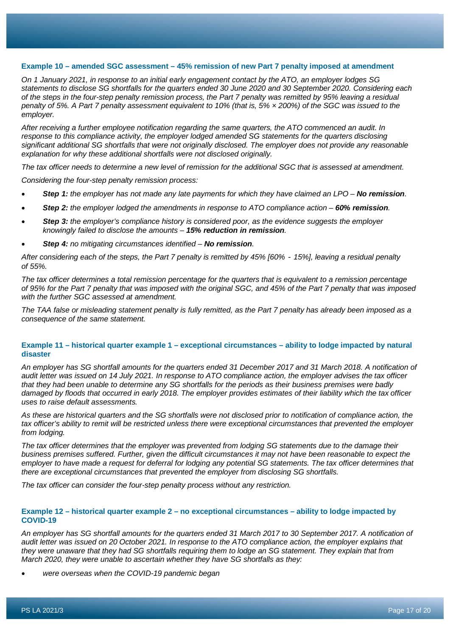#### **Example 10 – amended SGC assessment – 45% remission of new Part 7 penalty imposed at amendment**

*On 1 January 2021, in response to an initial early engagement contact by the ATO, an employer lodges SG statements to disclose SG shortfalls for the quarters ended 30 June 2020 and 30 September 2020. Considering each of the steps in the four-step penalty remission process, the Part 7 penalty was remitted by 95% leaving a residual penalty of 5%. A Part 7 penalty assessment equivalent to 10% (that is, 5% × 200%) of the SGC was issued to the employer.*

*After receiving a further employee notification regarding the same quarters, the ATO commenced an audit. In response to this compliance activity, the employer lodged amended SG statements for the quarters disclosing significant additional SG shortfalls that were not originally disclosed. The employer does not provide any reasonable explanation for why these additional shortfalls were not disclosed originally.*

*The tax officer needs to determine a new level of remission for the additional SGC that is assessed at amendment.*

*Considering the four-step penalty remission process:*

- **Step 1:** the employer has not made any late payments for which they have claimed an LPO No remission.
- *Step 2: the employer lodged the amendments in response to ATO compliance action – 60% remission.*
- *Step 3: the employer's compliance history is considered poor, as the evidence suggests the employer knowingly failed to disclose the amounts – 15% reduction in remission.*
- *Step 4: no mitigating circumstances identified – No remission.*

*After considering each of the steps, the Part 7 penalty is remitted by 45% [60% - 15%], leaving a residual penalty of 55%.*

*The tax officer determines a total remission percentage for the quarters that is equivalent to a remission percentage of 95% for the Part 7 penalty that was imposed with the original SGC, and 45% of the Part 7 penalty that was imposed with the further SGC assessed at amendment.*

*The TAA false or misleading statement penalty is fully remitted, as the Part 7 penalty has already been imposed as a consequence of the same statement.*

#### **Example 11 – historical quarter example 1 – exceptional circumstances – ability to lodge impacted by natural disaster**

*An employer has SG shortfall amounts for the quarters ended 31 December 2017 and 31 March 2018. A notification of audit letter was issued on 14 July 2021. In response to ATO compliance action, the employer advises the tax officer that they had been unable to determine any SG shortfalls for the periods as their business premises were badly damaged by floods that occurred in early 2018. The employer provides estimates of their liability which the tax officer uses to raise default assessments.*

*As these are historical quarters and the SG shortfalls were not disclosed prior to notification of compliance action, the tax officer's ability to remit will be restricted unless there were exceptional circumstances that prevented the employer from lodging.*

*The tax officer determines that the employer was prevented from lodging SG statements due to the damage their business premises suffered. Further, given the difficult circumstances it may not have been reasonable to expect the*  employer to have made a request for deferral for lodging any potential SG statements. The tax officer determines that *there are exceptional circumstances that prevented the employer from disclosing SG shortfalls.*

*The tax officer can consider the four-step penalty process without any restriction.*

#### **Example 12 – historical quarter example 2 – no exceptional circumstances – ability to lodge impacted by COVID-19**

*An employer has SG shortfall amounts for the quarters ended 31 March 2017 to 30 September 2017. A notification of audit letter was issued on 20 October 2021. In response to the ATO compliance action, the employer explains that they were unaware that they had SG shortfalls requiring them to lodge an SG statement. They explain that from March 2020, they were unable to ascertain whether they have SG shortfalls as they:*

• *were overseas when the COVID-19 pandemic began*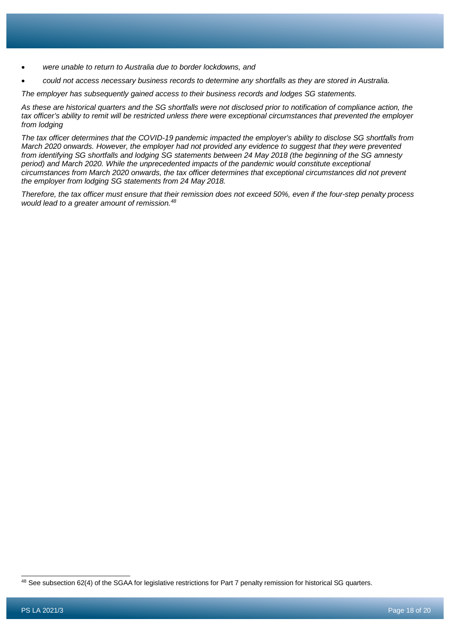- *were unable to return to Australia due to border lockdowns, and*
- *could not access necessary business records to determine any shortfalls as they are stored in Australia.*

*The employer has subsequently gained access to their business records and lodges SG statements.*

*As these are historical quarters and the SG shortfalls were not disclosed prior to notification of compliance action, the tax officer's ability to remit will be restricted unless there were exceptional circumstances that prevented the employer from lodging*

*The tax officer determines that the COVID-19 pandemic impacted the employer's ability to disclose SG shortfalls from March 2020 onwards. However, the employer had not provided any evidence to suggest that they were prevented from identifying SG shortfalls and lodging SG statements between 24 May 2018 (the beginning of the SG amnesty period) and March 2020. While the unprecedented impacts of the pandemic would constitute exceptional circumstances from March 2020 onwards, the tax officer determines that exceptional circumstances did not prevent the employer from lodging SG statements from 24 May 2018.*

*Therefore, the tax officer must ensure that their remission does not exceed 50%, even if the four-step penalty process would lead to a greater amount of remission.[48](#page-17-0)*

<span id="page-17-0"></span><sup>48</sup> See subsection 62(4) of the SGAA for legislative restrictions for Part 7 penalty remission for historical SG quarters.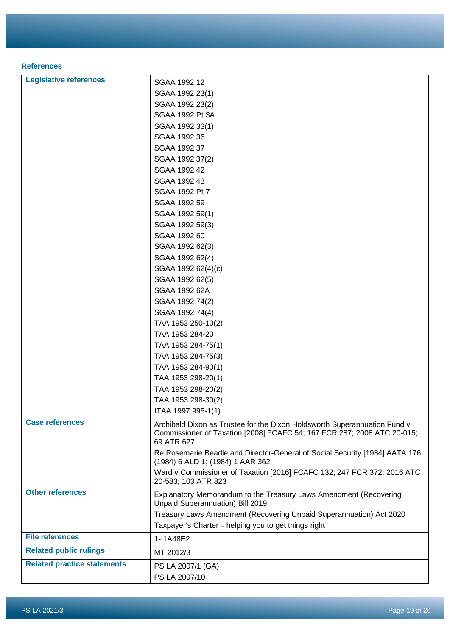### **References**

| <b>Legislative references</b>      | SGAA 1992 12                                                                                                                                                       |
|------------------------------------|--------------------------------------------------------------------------------------------------------------------------------------------------------------------|
|                                    | SGAA 1992 23(1)                                                                                                                                                    |
|                                    | SGAA 1992 23(2)                                                                                                                                                    |
|                                    | SGAA 1992 Pt 3A                                                                                                                                                    |
|                                    | SGAA 1992 33(1)                                                                                                                                                    |
|                                    | SGAA 1992 36                                                                                                                                                       |
|                                    | SGAA 1992 37                                                                                                                                                       |
|                                    | SGAA 1992 37(2)                                                                                                                                                    |
|                                    | SGAA 1992 42                                                                                                                                                       |
|                                    | SGAA 1992 43                                                                                                                                                       |
|                                    | SGAA 1992 Pt 7                                                                                                                                                     |
|                                    | SGAA 1992 59                                                                                                                                                       |
|                                    | SGAA 1992 59(1)                                                                                                                                                    |
|                                    | SGAA 1992 59(3)                                                                                                                                                    |
|                                    | SGAA 1992 60                                                                                                                                                       |
|                                    | SGAA 1992 62(3)                                                                                                                                                    |
|                                    | SGAA 1992 62(4)                                                                                                                                                    |
|                                    | SGAA 1992 62(4)(c)                                                                                                                                                 |
|                                    | SGAA 1992 62(5)                                                                                                                                                    |
|                                    | SGAA 1992 62A                                                                                                                                                      |
|                                    | SGAA 1992 74(2)                                                                                                                                                    |
|                                    | SGAA 1992 74(4)                                                                                                                                                    |
|                                    | TAA 1953 250-10(2)                                                                                                                                                 |
|                                    | TAA 1953 284-20                                                                                                                                                    |
|                                    | TAA 1953 284-75(1)                                                                                                                                                 |
|                                    | TAA 1953 284-75(3)                                                                                                                                                 |
|                                    | TAA 1953 284-90(1)                                                                                                                                                 |
|                                    | TAA 1953 298-20(1)                                                                                                                                                 |
|                                    | TAA 1953 298-20(2)                                                                                                                                                 |
|                                    | TAA 1953 298-30(2)                                                                                                                                                 |
|                                    | ITAA 1997 995-1(1)                                                                                                                                                 |
| <b>Case references</b>             | Archibald Dixon as Trustee for the Dixon Holdsworth Superannuation Fund v<br>Commissioner of Taxation [2008] FCAFC 54; 167 FCR 287; 2008 ATC 20-015;<br>69 ATR 627 |
|                                    | Re Rosemarie Beadle and Director-General of Social Security [1984] AATA 176;<br>(1984) 6 ALD 1; (1984) 1 AAR 362                                                   |
|                                    | Ward v Commissioner of Taxation [2016] FCAFC 132; 247 FCR 372; 2016 ATC<br>20-583; 103 ATR 823                                                                     |
| <b>Other references</b>            | Explanatory Memorandum to the Treasury Laws Amendment (Recovering<br>Unpaid Superannuation) Bill 2019                                                              |
|                                    | Treasury Laws Amendment (Recovering Unpaid Superannuation) Act 2020                                                                                                |
|                                    | Taxpayer's Charter - helping you to get things right                                                                                                               |
| <b>File references</b>             | 1-I1A48E2                                                                                                                                                          |
| <b>Related public rulings</b>      | MT 2012/3                                                                                                                                                          |
| <b>Related practice statements</b> | PS LA 2007/1 (GA)                                                                                                                                                  |
|                                    | PS LA 2007/10                                                                                                                                                      |